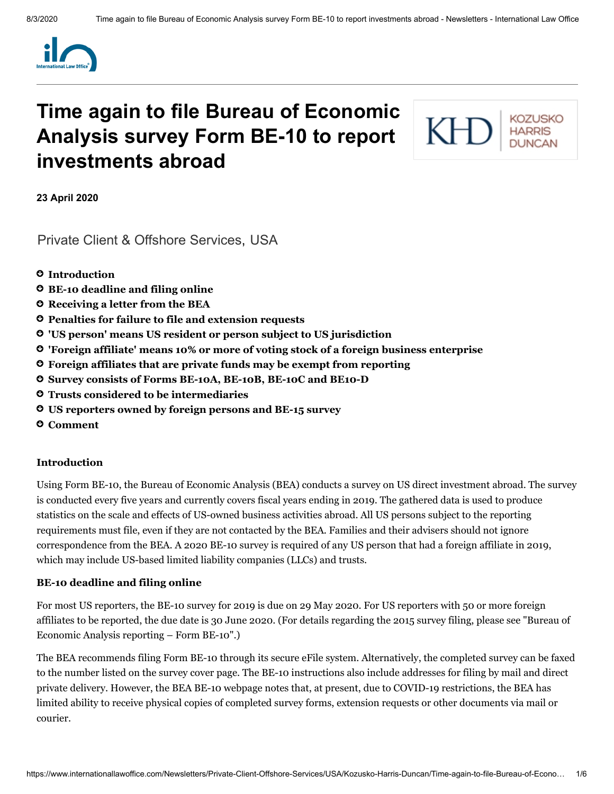

# **Time again to file Bureau of Economic Analysis survey Form BE-10 to report investments abroad**

KF

**23 April 2020**

[Private Client & Offshore Services,](https://www.internationallawoffice.com/Search?at=Updates&cfn=Kozusko+Harris+Duncan&ws=Private+Client+%26+Offshore+Services) [USA](https://www.internationallawoffice.com/Search?at=Updates&cfn=Kozusko+Harris+Duncan&js=USA)

- **[Introduction](#page-0-0)**
- **BE-10 [deadline](#page-0-1) and filing online**
- **[Receiving](#page-1-0) a letter from the BEA**
- **[Penalties for](#page-1-1) failure to file and extension requests**
- **'US person' means US resident or person subject to US [jurisdiction](#page-1-2)**
- **'Foreign affiliate' means 10% or more of voting stock of a foreign [business enterprise](#page-2-0)**
- **Foreign [affiliates that](#page-2-0) are private funds may be exempt from reporting**
- **Survey consists of [Forms BE-10A,](#page-3-0) BE-10B, BE-10C and BE10-D**
- **[Trusts considered](#page-3-1) to be intermediaries**
- **US [reporters owned](#page-4-0) by foreign persons and BE-15 survey**
- **[Comment](#page-4-1)**

#### <span id="page-0-0"></span>**Introduction**

Using Form BE-10, the Bureau of Economic Analysis (BEA) conducts a survey on US direct investment abroad. The survey is conducted every five years and currently covers fiscal years ending in 2019. The gathered data is used to produce statistics on the scale and effects of US-owned business activities abroad. All US persons subject to the reporting requirements must file, even if they are not contacted by the BEA. Families and their advisers should not ignore correspondence from the BEA. A 2020 BE-10 survey is required of any US person that had a foreign affiliate in 2019, which may include US-based limited liability companies (LLCs) and trusts.

#### <span id="page-0-1"></span>**BE-10 deadline and filing online**

For most US reporters, the BE-10 survey for 2019 is due on 29 May 2020. For US reporters with 50 or more foreign affiliates to be reported, the due date is 30 June 2020. (For details regarding the 2015 survey filing, please see "Bureau of [Economic](https://www.internationallawoffice.com/Newsletters/Offshore-Services/USA/Kozusko-Harris-Duncan/Bureau-of-Economic-Analysis-reporting-Form-BE-10) Analysis reporting – Form BE-10".)

The BEA recommends filing Form BE-10 through its secure eFile system. Alternatively, the completed survey can be faxed to the number listed on the survey cover page. The BE-10 instructions also include addresses for filing by mail and direct private delivery. However, the BEA BE-10 webpage notes that, at present, due to COVID-19 restrictions, the BEA has limited ability to receive physical copies of completed survey forms, extension requests or other documents via mail or courier.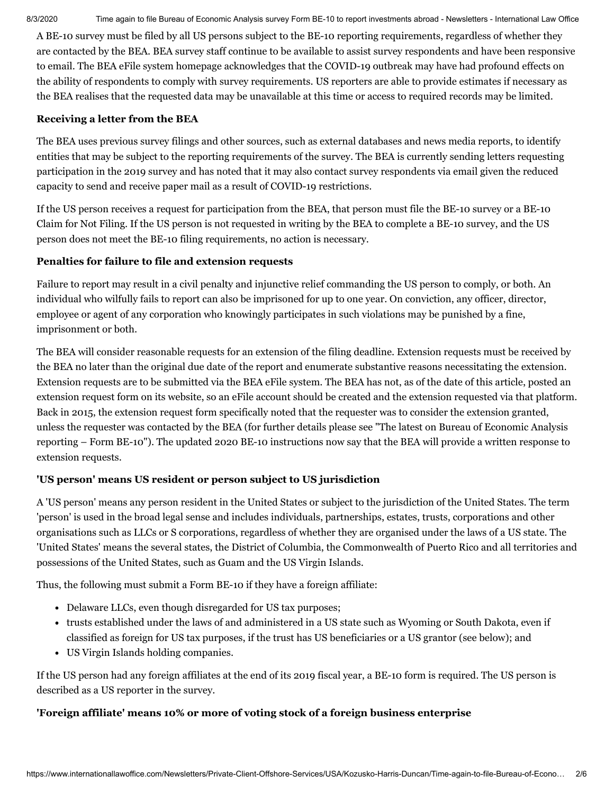A BE-10 survey must be filed by all US persons subject to the BE-10 reporting requirements, regardless of whether they are contacted by the BEA. BEA survey staff continue to be available to assist survey respondents and have been responsive to email. The BEA eFile system homepage acknowledges that the COVID-19 outbreak may have had profound effects on the ability of respondents to comply with survey requirements. US reporters are able to provide estimates if necessary as the BEA realises that the requested data may be unavailable at this time or access to required records may be limited.

#### <span id="page-1-0"></span>**Receiving a letter from the BEA**

The BEA uses previous survey filings and other sources, such as external databases and news media reports, to identify entities that may be subject to the reporting requirements of the survey. The BEA is currently sending letters requesting participation in the 2019 survey and has noted that it may also contact survey respondents via email given the reduced capacity to send and receive paper mail as a result of COVID-19 restrictions.

If the US person receives a request for participation from the BEA, that person must file the BE-10 survey or a BE-10 Claim for Not Filing. If the US person is not requested in writing by the BEA to complete a BE-10 survey, and the US person does not meet the BE-10 filing requirements, no action is necessary.

# <span id="page-1-1"></span>**Penalties for failure to file and extension requests**

Failure to report may result in a civil penalty and injunctive relief commanding the US person to comply, or both. An individual who wilfully fails to report can also be imprisoned for up to one year. On conviction, any officer, director, employee or agent of any corporation who knowingly participates in such violations may be punished by a fine, imprisonment or both.

The BEA will consider reasonable requests for an extension of the filing deadline. Extension requests must be received by the BEA no later than the original due date of the report and enumerate substantive reasons necessitating the extension. Extension requests are to be submitted via the BEA eFile system. The BEA has not, as of the date of this article, posted an extension request form on its website, so an eFile account should be created and the extension requested via that platform. Back in 2015, the extension request form specifically noted that the requester was to consider the extension granted, unless the requester was contacted by the BEA (for further details please see "The latest on Bureau of Economic Analysis reporting – Form BE-10"). The updated 2020 BE-10 [instructions](https://www.internationallawoffice.com/Newsletters/Offshore-Services/USA/Kozusko-Harris-Duncan/The-latest-on-Bureau-of-Economic-Analysis-reporting-Form-BE-10) now say that the BEA will provide a written response to extension requests.

# <span id="page-1-2"></span>**'US person' means US resident or person subject to US jurisdiction**

A 'US person' means any person resident in the United States or subject to the jurisdiction of the United States. The term 'person' is used in the broad legal sense and includes individuals, partnerships, estates, trusts, corporations and other organisations such as LLCs or S corporations, regardless of whether they are organised under the laws of a US state. The 'United States' means the several states, the District of Columbia, the Commonwealth of Puerto Rico and all territories and possessions of the United States, such as Guam and the US Virgin Islands.

Thus, the following must submit a Form BE-10 if they have a foreign affiliate:

- Delaware LLCs, even though disregarded for US tax purposes;
- trusts established under the laws of and administered in a US state such as Wyoming or South Dakota, even if classified as foreign for US tax purposes, if the trust has US beneficiaries or a US grantor (see below); and
- US Virgin Islands holding companies.

If the US person had any foreign affiliates at the end of its 2019 fiscal year, a BE-10 form is required. The US person is described as a US reporter in the survey.

# **'Foreign affiliate' means 10% or more of voting stock of a foreign business enterprise**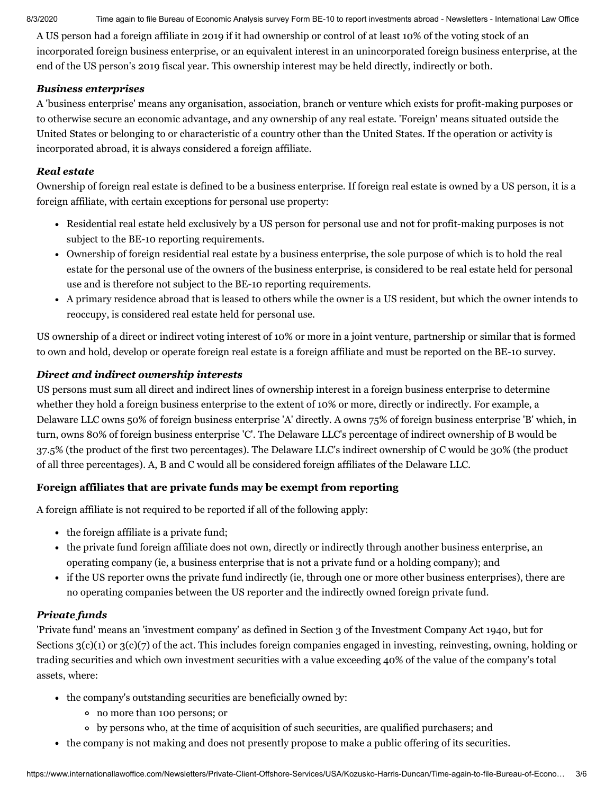A US person had a foreign affiliate in 2019 if it had ownership or control of at least 10% of the voting stock of an incorporated foreign business enterprise, or an equivalent interest in an unincorporated foreign business enterprise, at the end of the US person's 2019 fiscal year. This ownership interest may be held directly, indirectly or both.

#### *Business enterprises*

A 'business enterprise' means any organisation, association, branch or venture which exists for profit-making purposes or to otherwise secure an economic advantage, and any ownership of any real estate. 'Foreign' means situated outside the United States or belonging to or characteristic of a country other than the United States. If the operation or activity is incorporated abroad, it is always considered a foreign affiliate.

# *Real estate*

Ownership of foreign real estate is defined to be a business enterprise. If foreign real estate is owned by a US person, it is a foreign affiliate, with certain exceptions for personal use property:

- Residential real estate held exclusively by a US person for personal use and not for profit-making purposes is not subject to the BE-10 reporting requirements.
- Ownership of foreign residential real estate by a business enterprise, the sole purpose of which is to hold the real estate for the personal use of the owners of the business enterprise, is considered to be real estate held for personal use and is therefore not subject to the BE-10 reporting requirements.
- A primary residence abroad that is leased to others while the owner is a US resident, but which the owner intends to reoccupy, is considered real estate held for personal use.

US ownership of a direct or indirect voting interest of 10% or more in a joint venture, partnership or similar that is formed to own and hold, develop or operate foreign real estate is a foreign affiliate and must be reported on the BE-10 survey.

# *Direct and indirect ownership interests*

US persons must sum all direct and indirect lines of ownership interest in a foreign business enterprise to determine whether they hold a foreign business enterprise to the extent of 10% or more, directly or indirectly. For example, a Delaware LLC owns 50% of foreign business enterprise 'A' directly. A owns 75% of foreign business enterprise 'B' which, in turn, owns 80% of foreign business enterprise 'C'. The Delaware LLC's percentage of indirect ownership of B would be 37.5% (the product of the first two percentages). The Delaware LLC's indirect ownership of C would be 30% (the product of all three percentages). A, B and C would all be considered foreign affiliates of the Delaware LLC.

# <span id="page-2-0"></span>**Foreign affiliates that are private funds may be exempt from reporting**

A foreign affiliate is not required to be reported if all of the following apply:

- the foreign affiliate is a private fund;
- the private fund foreign affiliate does not own, directly or indirectly through another business enterprise, an operating company (ie, a business enterprise that is not a private fund or a holding company); and
- if the US reporter owns the private fund indirectly (ie, through one or more other business enterprises), there are no operating companies between the US reporter and the indirectly owned foreign private fund.

# *Private funds*

'Private fund' means an 'investment company' as defined in Section 3 of the Investment Company Act 1940, but for Sections 3(c)(1) or 3(c)(7) of the act. This includes foreign companies engaged in investing, reinvesting, owning, holding or trading securities and which own investment securities with a value exceeding 40% of the value of the company's total assets, where:

- the company's outstanding securities are beneficially owned by:
	- no more than 100 persons; or
	- by persons who, at the time of acquisition of such securities, are qualified purchasers; and
- the company is not making and does not presently propose to make a public offering of its securities.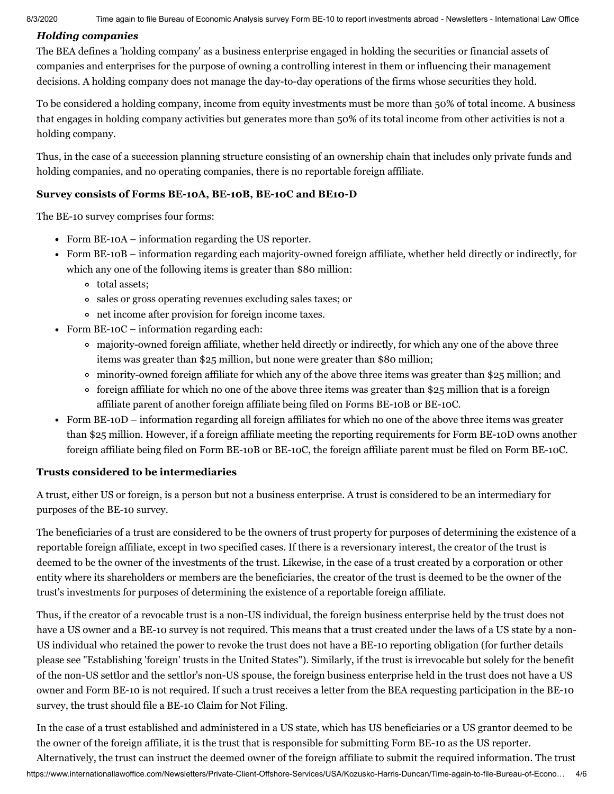#### *Holding companies*

The BEA defines a 'holding company' as a business enterprise engaged in holding the securities or financial assets of companies and enterprises for the purpose of owning a controlling interest in them or influencing their management decisions. A holding company does not manage the day-to-day operations of the firms whose securities they hold.

To be considered a holding company, income from equity investments must be more than 50% of total income. A business that engages in holding company activities but generates more than 50% of its total income from other activities is not a holding company.

Thus, in the case of a succession planning structure consisting of an ownership chain that includes only private funds and holding companies, and no operating companies, there is no reportable foreign affiliate.

#### <span id="page-3-0"></span>**Survey consists of Forms BE-10A, BE-10B, BE-10C and BE10-D**

The BE-10 survey comprises four forms:

- Form BE-10A information regarding the US reporter.
- Form BE-10B information regarding each majority-owned foreign affiliate, whether held directly or indirectly, for which any one of the following items is greater than \$80 million:
	- total assets;
	- sales or gross operating revenues excluding sales taxes; or
	- net income after provision for foreign income taxes.
- Form BE-10C information regarding each:
	- majority-owned foreign affiliate, whether held directly or indirectly, for which any one of the above three items was greater than \$25 million, but none were greater than \$80 million;
	- minority-owned foreign affiliate for which any of the above three items was greater than \$25 million; and
	- foreign affiliate for which no one of the above three items was greater than \$25 million that is a foreign affiliate parent of another foreign affiliate being filed on Forms BE-10B or BE-10C.
- Form BE-10D information regarding all foreign affiliates for which no one of the above three items was greater than \$25 million. However, if a foreign affiliate meeting the reporting requirements for Form BE-10D owns another foreign affiliate being filed on Form BE-10B or BE-10C, the foreign affiliate parent must be filed on Form BE-10C.

# <span id="page-3-1"></span>**Trusts considered to be intermediaries**

A trust, either US or foreign, is a person but not a business enterprise. A trust is considered to be an intermediary for purposes of the BE-10 survey.

The beneficiaries of a trust are considered to be the owners of trust property for purposes of determining the existence of a reportable foreign affiliate, except in two specified cases. If there is a reversionary interest, the creator of the trust is deemed to be the owner of the investments of the trust. Likewise, in the case of a trust created by a corporation or other entity where its shareholders or members are the beneficiaries, the creator of the trust is deemed to be the owner of the trust's investments for purposes of determining the existence of a reportable foreign affiliate.

Thus, if the creator of a revocable trust is a non-US individual, the foreign business enterprise held by the trust does not have a US owner and a BE-10 survey is not required. This means that a trust created under the laws of a US state by a non-US individual who retained the power to revoke the trust does not have a BE-10 reporting obligation (for further details please see ["Establishing](https://www.internationallawoffice.com/Newsletters/Private-Client-Offshore-Services/USA/Kozusko-Harris-Duncan/Establishing-foreign-trusts-in-the-United-States) 'foreign' trusts in the United States"). Similarly, if the trust is irrevocable but solely for the benefit of the non-US settlor and the settlor's non-US spouse, the foreign business enterprise held in the trust does not have a US owner and Form BE-10 is not required. If such a trust receives a letter from the BEA requesting participation in the BE-10 survey, the trust should file a BE-10 Claim for Not Filing.

https://www.internationallawoffice.com/Newsletters/Private-Client-Offshore-Services/USA/Kozusko-Harris-Duncan/Time-again-to-file-Bureau-of-Econo… 4/6 In the case of a trust established and administered in a US state, which has US beneficiaries or a US grantor deemed to be the owner of the foreign affiliate, it is the trust that is responsible for submitting Form BE-10 as the US reporter. Alternatively, the trust can instruct the deemed owner of the foreign affiliate to submit the required information. The trust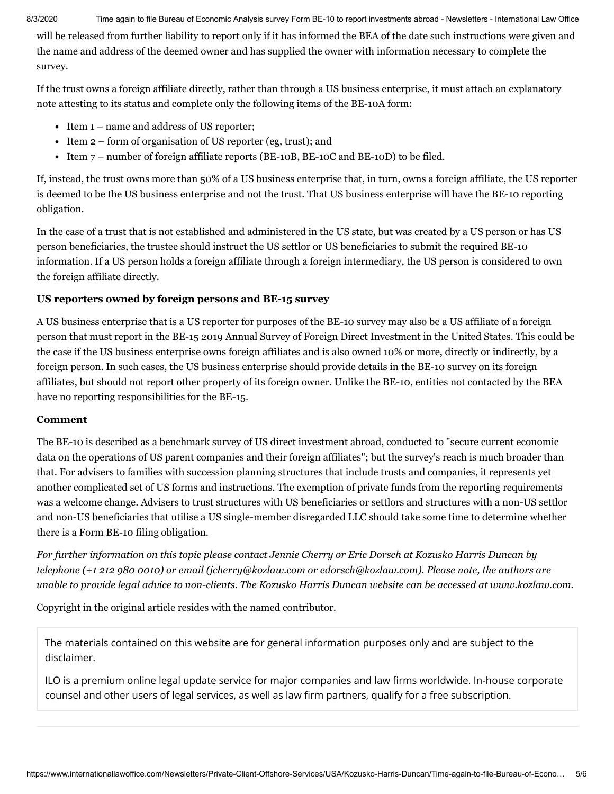will be released from further liability to report only if it has informed the BEA of the date such instructions were given and the name and address of the deemed owner and has supplied the owner with information necessary to complete the survey.

If the trust owns a foreign affiliate directly, rather than through a US business enterprise, it must attach an explanatory note attesting to its status and complete only the following items of the BE-10A form:

- Item 1 name and address of US reporter;
- Item  $2$  form of organisation of US reporter (eg, trust); and
- Item  $7$  number of foreign affiliate reports (BE-10B, BE-10C and BE-10D) to be filed.

If, instead, the trust owns more than 50% of a US business enterprise that, in turn, owns a foreign affiliate, the US reporter is deemed to be the US business enterprise and not the trust. That US business enterprise will have the BE-10 reporting obligation.

In the case of a trust that is not established and administered in the US state, but was created by a US person or has US person beneficiaries, the trustee should instruct the US settlor or US beneficiaries to submit the required BE-10 information. If a US person holds a foreign affiliate through a foreign intermediary, the US person is considered to own the foreign affiliate directly.

# <span id="page-4-0"></span>**US reporters owned by foreign persons and BE-15 survey**

A US business enterprise that is a US reporter for purposes of the BE-10 survey may also be a US affiliate of a foreign person that must report in the BE-15 2019 Annual Survey of Foreign Direct Investment in the United States. This could be the case if the US business enterprise owns foreign affiliates and is also owned 10% or more, directly or indirectly, by a foreign person. In such cases, the US business enterprise should provide details in the BE-10 survey on its foreign affiliates, but should not report other property of its foreign owner. Unlike the BE-10, entities not contacted by the BEA have no reporting responsibilities for the BE-15.

#### <span id="page-4-1"></span>**Comment**

The BE-10 is described as a benchmark survey of US direct investment abroad, conducted to "secure current economic data on the operations of US parent companies and their foreign affiliates"; but the survey's reach is much broader than that. For advisers to families with succession planning structures that include trusts and companies, it represents yet another complicated set of US forms and instructions. The exemption of private funds from the reporting requirements was a welcome change. Advisers to trust structures with US beneficiaries or settlors and structures with a non-US settlor and non-US beneficiaries that utilise a US single-member disregarded LLC should take some time to determine whether there is a Form BE-10 filing obligation.

For further information on this topic please contact Jennie [Cherry](http://www.internationallawoffice.com/directory/biography.aspx?r=36050) or Eric [Dorsch](https://www.internationallawoffice.com/Directory/Kozusko-Harris-Duncan/New-York-NY/Eric-Dorsch) at Kozusko Harris Duncan by telephone (+1 212 980 0010) or email ([jcherry@kozlaw.com](mailto:jcherry@kozlaw.com?subject=Article%20on%20ILO) or [edorsch@kozlaw.com\)](mailto:edorsch@kozlaw.com?subject=Article%20on%20ILO). Please note, the authors are *unable to provide legal advice to non-clients. The Kozusko Harris Duncan website can be accessed at [www.kozlaw.com.](http://www.kozlaw.com/)*

Copyright in the original article resides with the named contributor.

The materials contained on this website are for general information purposes only and are subject to the [disclaimer.](https://www.internationallawoffice.com/Information/Disclaimer)

ILO is a premium online legal update service for major companies and law firms worldwide. In-house corporate counsel and other users of legal services, as well as law firm partners, qualify for a free subscription.